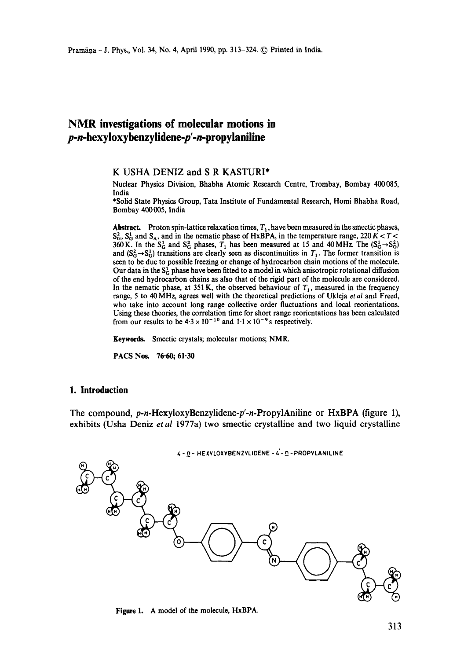# **NMR investigations of molecular motions in**  *p-n-hexyloxybenzylidene-p'.n-propylaniline*

#### **K** USHA DENIZ and **S R** KASTURI\*

Nuclear Physics Division, Bhabha Atomic Research Centre, Trombay, Bombay 400085, India

\*Solid State Physics Group, Tata Institute of Fundamental Research, Homi Bhabha Road, Bombay 400005, India

**Abstract.** Proton spin-lattice relaxation times,  $T_1$ , have been measured in the smectic phases,  $S_G^2$ ,  $S_G^1$  and  $S_A$ , and in the nematic phase of HxBPA, in the temperature range, 220 K < T < 360 K. In the S<sub>G</sub> and S<sub>G</sub> phases,  $T_1$  has been measured at 15 and 40 MHz. The (S<sub>G</sub>-S<sub>G</sub>) and  $(S_G^2 \rightarrow S_G^1)$  transitions are clearly seen as discontinuities in  $T_1$ . The former transition is seen to be due to possible freezing or change of hydrocarbon chain motions of the molecule. Our data in the  $S_G^1$  phase have been fitted to a model in which anisotropic rotational diffusion of the end hydrocarbon chains as also that of the rigid part of the molecule are considered. In the nematic phase, at 351 K, the observed behaviour of  $T<sub>1</sub>$ , measured in the frequency range, 5 to 40 MHz, agrees well with the theoretical predictions of Ukleja *et al* and Freed, who take into account long range collective order fluctuations and local reorientations. Using these theories, the correlation time for short range reorientations has been calculated from our results to be  $4.3 \times 10^{-10}$  and  $1.1 \times 10^{-9}$  s respectively.

**Keywords.** Smectic crystals; molecular motions; NMR.

PACS Nos. 76.60; 61.30

#### **1. Introduction**

The compound, *p-n-Hexyloxylknzylidene-p'-n-PropylAniline* or HxBPA (figure 1), exhibits (Usha Deniz *etal* 1977a) two smectic crystalline and two liquid crystalline



**Figure** 1. A model of the molecule, HxBPA.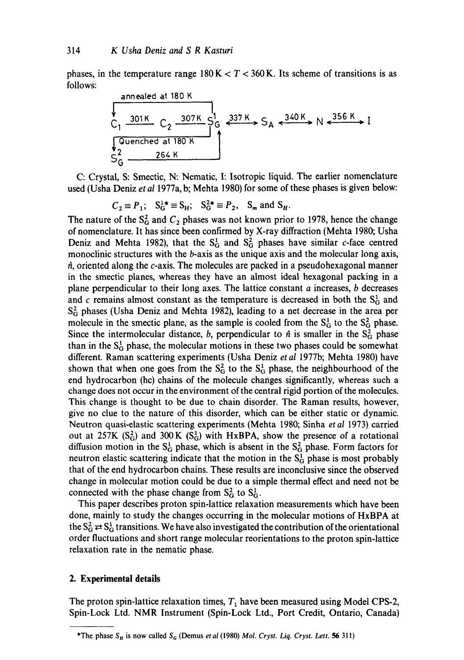phases, in the temperature range  $180 K < T < 360 K$ . Its scheme of transitions is as follows:



C: Crystal, S: Smectic, N: Nematic, I: Isotropic liquid. The earlier nomenclature used (Usha Deniz *et al* 1977a, b; Mehta 1980) for some of these phases is given below:

$$
C_2 \equiv P_1; \quad S_G^{1*} \equiv S_H; \quad S_G^{2*} \equiv P_2, \quad S_m \text{ and } S_H.
$$

The nature of the  $S_G^2$  and  $C_2$  phases was not known prior to 1978, hence the change of nomenclature. It has since been confirmed by X-ray diffraction (Mehta 1980; Usha Deniz and Mehta 1982), that the  $S_G^1$  and  $S_G^2$  phases have similar c-face centred monoclinic structures with the b-axis as the unique axis and the molecular long axis,  $\hat{n}$ , oriented along the c-axis. The molecules are packed in a pseudohexagonal manner in the smectic planes, whereas they have an almost ideal hexagonal packing in a plane perpendicular to their long axes. The lattice constant  $a$  increases,  $b$  decreases and c remains almost constant as the temperature is decreased in both the  $S_G^1$  and  $S_G^2$  phases (Usha Deniz and Mehta 1982), leading to a net decrease in the area per molecule in the smectic plane, as the sample is cooled from the  $S<sub>G</sub><sup>1</sup>$  to the  $S<sub>G</sub><sup>2</sup>$  phase. Since the intermolecular distance, b, perpendicular to  $\hat{n}$  is smaller in the  $S_G^2$  phase than in the  $S_G^1$  phase, the molecular motions in these two phases could be somewhat different. Raman scattering experiments (Usha Deniz *et al* 1977b; Mehta 1980) have shown that when one goes from the  $S_G^2$  to the  $S_G^1$  phase, the neighbourhood of the end hydrocarbon (he) chains of the molecule changes significantly, whereas such a change does not occur in the environment of the central rigid portion of the molecules. This change is thought to be due to chain disorder. The Raman results, however, give no clue to the nature of this disorder, which can be either static or dynamic. Neutron quasi-elastic scattering experiments (Mehta 1980; Sinha *et al* 1973) carried out at 257K  $(S_G^2)$  and 300K  $(S_G^1)$  with HxBPA, show the presence of a rotational diffusion motion in the  $S_G^1$  phase, which is absent in the  $S_G^2$  phase. Form factors for neutron elastic scattering indicate that the motion in the  $S_G^1$  phase is most probably that of the end hydrocarbon chains. These results are inconclusive since the observed change in molecular motion could be due to a simple thermal effect and need not be connected with the phase change from  $S_G^2$  to  $S_G^1$ .

This paper describes proton spin-lattice relaxation measurements which have been done, mainly to study the changes occurring in the molecular motions of HxBPA at the  $S_G^2 \rightleftarrows S_G^1$  transitions. We have also investigated the contribution of the orientational order fluctuations and short range molecular reorientations to the proton spin-lattice relaxation rate in the nematic phase.

## **2. Experimental details**

The proton spin-lattice relaxation times,  $T_1$  have been measured using Model CPS-2, Spin-Lock Ltd. NMR Instrument (Spin-Lock Ltd., Port Credit, Ontario, Canada)

<sup>\*</sup>The phase  $S_H$  is now called  $S_G$  (Demus *et al* (1980) *Mol. Cryst. Liq. Cryst. Lett.* **56** 311)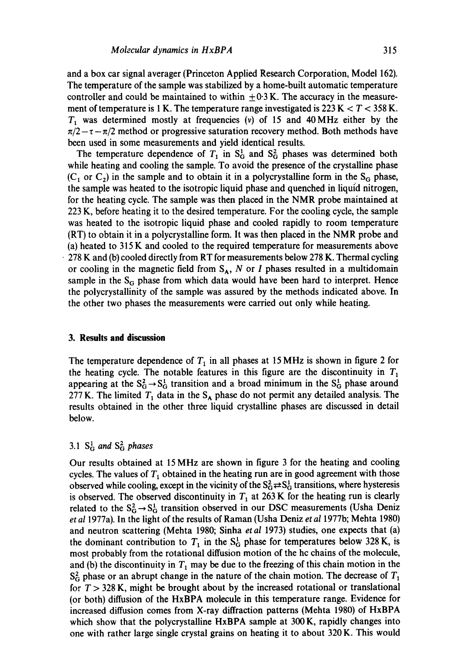and a box car signal averager (Princeton Applied Research Corporation, Model 162). The temperature of the sample was stabilized by a home-built automatic temperature controller and could be maintained to within  $\pm 0.3$  K. The accuracy in the measurement of temperature is 1 K. The temperature range investigated is  $223 K < T < 358 K$ .  $T_1$  was determined mostly at frequencies (v) of 15 and 40 MHz either by the  $\pi/2-\tau-\pi/2$  method or progressive saturation recovery method. Both methods have been used in some measurements and yield identical results.

The temperature dependence of  $T_1$  in  $S_G^1$  and  $S_G^2$  phases was determined both while heating and cooling the sample. To avoid the presence of the crystalline phase  $(C_1$  or  $C_2$ ) in the sample and to obtain it in a polycrystalline form in the S<sub>G</sub> phase, the sample was heated to the isotropic liquid phase and quenched in liquid nitrogen, for the heating cycle. The sample was then placed in the NMR probe maintained at 223 K, before heating it to the desired temperature. For the cooling cycle, the sample was heated to the isotropic liquid phase and cooled rapidly to room temperature (RT) to obtain it in a polycrystalline form. It was then placed in the NMR probe and (a) heated to 315 K and cooled to the required temperature for measurements above • 278 K and (b') cooled directly from RT for measurements below 278 K. Thermal cycling or cooling in the magnetic field from  $S_A$ , N or I phases resulted in a multidomain sample in the  $S_G$  phase from which data would have been hard to interpret. Hence the polycrystallinity of the sample was assured by the methods indicated above. In the other two phases the measurements were carried out only while heating.

#### **3. Results and discussion**

The temperature dependence of  $T_1$  in all phases at 15 MHz is shown in figure 2 for the heating cycle. The notable features in this figure are the discontinuity in  $T_1$ appearing at the  $S_G^2 \rightarrow S_G^1$  transition and a broad minimum in the  $S_G^1$  phase around 277 K. The limited  $T_1$  data in the S<sub>A</sub> phase do not permit any detailed analysis. The results obtained in the other three liquid crystalline phases are discussed in detail below.

## 3.1  $S_G^1$  and  $S_G^2$  phases

Our results obtained at 15 MHz are shown in figure 3 for the heating and cooling cycles. The values of  $T<sub>1</sub>$  obtained in the heating run are in good agreement with those observed while cooling, except in the vicinity of the  $S_G^2 \rightleftarrows S_G^1$  transitions, where hysteresis is observed. The observed discontinuity in  $T_1$  at 263 K for the heating run is clearly related to the  $S_G^2 \rightarrow S_G^1$  transition observed in our DSC measurements (Usha Deniz *et al* 1977a). In the light of the results of Raman (Usha Deniz *et al* 1977b; Mehta 1980) and neutron scattering (Mehta 1980; Sinha *et al* 1973) studies, one expects that (a) the dominant contribution to  $T_1$  in the S<sub>G</sub> phase for temperatures below 328 K, is most probably from the rotational diffusion motion of the hc chains of the molecule, and (b) the discontinuity in  $T_1$  may be due to the freezing of this chain motion in the  $S<sub>G</sub><sup>2</sup>$  phase or an abrupt change in the nature of the chain motion. The decrease of  $T<sub>1</sub>$ for  $T > 328$  K, might be brought about by the increased rotational or translational (or both) diffusion of the HxBPA molecule in this temperature range. Evidence for increased diffusion comes from X-ray diffraction patterns (Mehta 1980) of HxBPA which show that the polycrystalline HxBPA sample at 300 K, rapidly changes into one with rather large single crystal grains on heating it to about 320 K. This would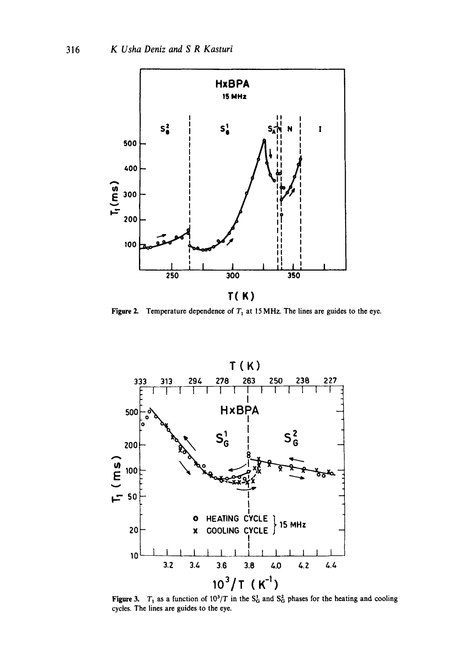

Figure 2. Temperature dependence of  $T_1$  at 15 MHz. The lines are guides to the eye.



Figure 3.  $T_1$  as a function of  $10^3/T$  in the S<sub>G</sub> and S<sub>G</sub> phases for the heating and cooling cycles. The lines are guides to the eye.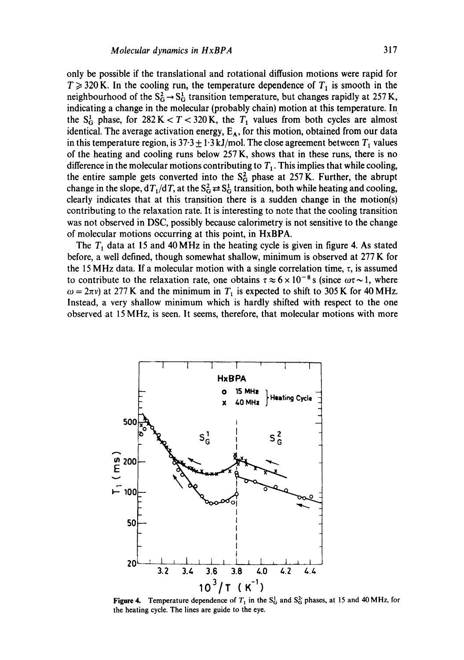only be possible if the translational and rotational diffusion motions were rapid for  $T \geq 320$  K. In the cooling run, the temperature dependence of  $T_1$  is smooth in the neighbourhood of the  $S_G^2 \rightarrow S_G^1$  transition temperature, but changes rapidly at 257 K, indicating a change in the molecular (probably chain) motion at this temperature. In the  $S_G^1$  phase, for  $282 K < T < 320 K$ , the  $T_1$  values from both cycles are almost identical. The average activation energy,  $E_A$ , for this motion, obtained from our data in this temperature region, is  $37.3 \pm 1.3 \text{ kJ/mol}$ . The close agreement between  $T_1$  values of the heating and cooling runs below 257 K, shows that in these runs, there is no difference in the molecular motions contributing to  $T_1$ . This implies that while cooling, the entire sample gets converted into the  $S_G^2$  phase at 257 K. Further, the abrupt change in the slope,  $dT_1/dT$ , at the  $S_G^2 \rightleftarrows S_G^1$  transition, both while heating and cooling, clearly indicates that at this transition there is a sudden change in the motion(s) contributing to the relaxation rate. It is interesting to note that the cooling transition was not observed in DSC, possibly because calorimetry is not sensitive to the change of molecular motions occurring at this point, in HxBPA.

The  $T<sub>1</sub>$  data at 15 and 40 MHz in the heating cycle is given in figure 4. As stated before, a well defined, though somewhat shallow, minimum is observed at 277 K for the 15 MHz data. If a molecular motion with a single correlation time,  $\tau$ , is assumed to contribute to the relaxation rate, one obtains  $\tau \approx 6 \times 10^{-8}$  s (since  $\omega \tau \sim 1$ , where  $\omega = 2\pi v$ ) at 277 K and the minimum in  $T_1$  is expected to shift to 305 K for 40 MHz. Instead, a very shallow minimum which is hardly shifted with respect to the one observed at 15 MHz, is seen. It seems, therefore, that molecular motions with more



Figure 4. Temperature dependence of  $T_1$  in the  $S_0^1$  and  $S_0^2$  phases, at 15 and 40 MHz, for the heating cycle. The lines are guide to the eye.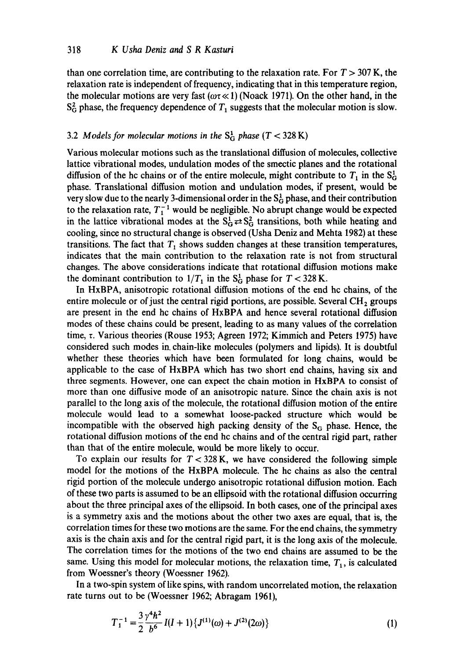than one correlation time, are contributing to the relaxation rate. For  $T > 307$  K, the relaxation rate is independent of frequency, indicating that in this temperature region, the molecular motions are very fast ( $\omega \tau \ll 1$ ) (Noack 1971). On the other hand, in the  $S_G^2$  phase, the frequency dependence of  $T_1$  suggests that the molecular motion is slow.

#### 3.2 *Models for molecular motions in the*  $S_G^1$  *phase* ( $T < 328$  K)

Various molecular motions such as the translational diffusion of molecules, collective lattice vibrational modes, undulation modes of the smectic planes and the rotational diffusion of the hc chains or of the entire molecule, might contribute to  $T_1$  in the  $S_G^1$ phase. Translational diffusion motion and undulation modes, if present, would be very slow due to the nearly 3-dimensional order in the  $S_G^1$  phase, and their contribution to the relaxation rate,  $T_1^{-1}$  would be negligible. No abrupt change would be expected in the lattice vibrational modes at the  $S_G^1 \rightleftarrows S_G^2$  transitions, both while heating and cooling, since no structural change is observed (Usha Deniz and Mehta 1982) at these transitions. The fact that  $T_1$  shows sudden changes at these transition temperatures, indicates that the main contribution to the relaxation rate is not from structural changes. The above considerations indicate that rotational diffusion motions make the dominant contribution to  $1/T_1$  in the S<sub>G</sub> phase for  $T < 328$  K.

In HxBPA, anisotropic rotational diffusion motions of the end hc chains, of the entire molecule or of just the central rigid portions, are possible. Several  $CH<sub>2</sub>$  groups are present in the end hc chains of HxBPA and hence several rotational diffusion modes of these chains could be present, leading to as many values of the correlation time,  $\tau$ . Various theories (Rouse 1953; Agreen 1972; Kimmich and Peters 1975) have considered such modes in. chain-like molecules (polymers and lipids). It is doubtful whether these theories which have been formulated for long chains, would be applicable to the case of HxBPA which has two short end chains, having six and three segments. However, one can expect the chain motion in HxBPA to consist of more than one diffusive mode of an anisotropic nature. Since the chain axis is not parallel to the long axis of the molecule, the rotational diffusion motion of the entire molecule would lead to a somewhat loose-packed structure which would be incompatible with the observed high packing density of the  $S<sub>G</sub>$  phase. Hence, the rotational diffusion motions of the end hc chains and of the central rigid part, rather than that of the entire molecule, would be more likely to occur.

To explain our results for  $T < 328$  K, we have considered the following simple model for the motions of the HxBPA molecule. The hc chains as also the central rigid portion of the molecule undergo anisotropic rotational diffusion motion. Each of these two parts is assumed to be an ellipsoid with the rotational diffusion occurring about the three principal axes of the ellipsoid. In both cases, one of the principal axes is a symmetry axis and the motions about the other two axes are equal, that is, the correlation times for these two motions are the same. For the end chains, the symmetry axis is the chain axis and for the central rigid part, it is the long axis of the molecule. The correlation times for the motions of the two end chains are assumed to be the same. Using this model for molecular motions, the relaxation time,  $T_1$ , is calculated from Woessner's theory (Woessner 1962).

In a two-spin system of like spins, with random uncorrelated motion, the relaxation rate turns out to be (Woessner 1962; Abragam 1961),

$$
T_1^{-1} = \frac{3 \gamma^4 h^2}{2 b^6} I(I+1) \{J^{(1)}(\omega) + J^{(2)}(2\omega) \}
$$
 (1)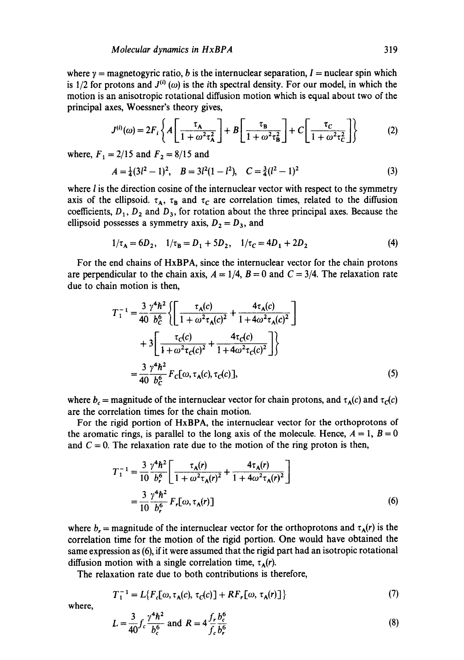where  $y =$  magnetogyric ratio, b is the internuclear separation, I = nuclear spin which is 1/2 for protons and  $J^{(i)}(\omega)$  is the *i*th spectral density. For our model, in which the motion is an anisotropic rotational diffusion motion which is equal about two of the principal axes, Woessner's theory gives,

$$
J^{(i)}(\omega) = 2F_i \left\{ A \left[ \frac{\tau_A}{1 + \omega^2 \tau_A^2} \right] + B \left[ \frac{\tau_B}{1 + \omega^2 \tau_B^2} \right] + C \left[ \frac{\tau_C}{1 + \omega^2 \tau_C^2} \right] \right\}
$$
(2)

where,  $F_1 = 2/15$  and  $F_2 = 8/15$  and

$$
A = \frac{1}{4}(3l^2 - 1)^2, \quad B = 3l^2(1 - l^2), \quad C = \frac{3}{4}(l^2 - 1)^2
$$
 (3)

where  $l$  is the direction cosine of the internuclear vector with respect to the symmetry axis of the ellipsoid.  $\tau_A$ ,  $\tau_B$  and  $\tau_C$  are correlation times, related to the diffusion coefficients,  $D_1$ ,  $D_2$  and  $D_3$ , for rotation about the three principal axes. Because the ellipsoid possesses a symmetry axis,  $D_2 = D_3$ , and

$$
1/\tau_{A} = 6D_{2}, \quad 1/\tau_{B} = D_{1} + 5D_{2}, \quad 1/\tau_{C} = 4D_{1} + 2D_{2}
$$
 (4)

For the end chains of HxBPA, since the internuclear vector for the chain protons are perpendicular to the chain axis,  $A = 1/4$ ,  $B = 0$  and  $C = 3/4$ . The relaxation rate due to chain motion is then,

$$
T_1^{-1} = \frac{3 \gamma^4 \hbar^2}{40} \left\{ \left[ \frac{\tau_A(c)}{1 + \omega^2 \tau_A(c)^2} + \frac{4\tau_A(c)}{1 + 4\omega^2 \tau_A(c)^2} \right] + 3 \left[ \frac{\tau_C(c)}{1 + \omega^2 \tau_C(c)^2} + \frac{4\tau_C(c)}{1 + 4\omega^2 \tau_C(c)^2} \right] \right\}
$$
  
= 
$$
\frac{3 \gamma^4 \hbar^2}{40 \ b_c^6} F_c[\omega, \tau_A(c), \tau_C(c)],
$$
 (5)

where  $b_c$  = magnitude of the internuclear vector for chain protons, and  $\tau_A(c)$  and  $\tau_C(c)$ are the correlation times for the chain motion.

For the rigid portion of HxBPA, the internuclear vector for the orthoprotons of the aromatic rings, is parallel to the long axis of the molecule. Hence,  $A = 1$ ,  $B = 0$ and  $C = 0$ . The relaxation rate due to the motion of the ring proton is then,

$$
T_1^{-1} = \frac{3}{10} \frac{\gamma^4 h^2}{b_r^6} \left[ \frac{\tau_A(r)}{1 + \omega^2 \tau_A(r)^2} + \frac{4\tau_A(r)}{1 + 4\omega^2 \tau_A(r)^2} \right]
$$
  
= 
$$
\frac{3}{10} \frac{\gamma^4 h^2}{b_r^6} F_r[\omega, \tau_A(r)]
$$
 (6)

where  $b_r$  = magnitude of the internuclear vector for the orthoprotons and  $\tau_A(r)$  is the correlation time for the motion of the rigid portion. One would have obtained the same expression as (6), if it were assumed that the rigid part had an isotropic rotational diffusion motion with a single correlation time,  $\tau_A(r)$ .

The relaxation rate due to both contributions is therefore,

$$
T_1^{-1} = L\{F_c[\omega, \tau_A(c), \tau_C(c)] + RF_r[\omega, \tau_A(r)]\}
$$
 (7)

where,

$$
L = \frac{3}{40} f_c \frac{\gamma^4 h^2}{b_c^6} \text{ and } R = 4 \frac{f_r b_c^6}{f_c b_r^6}
$$
 (8)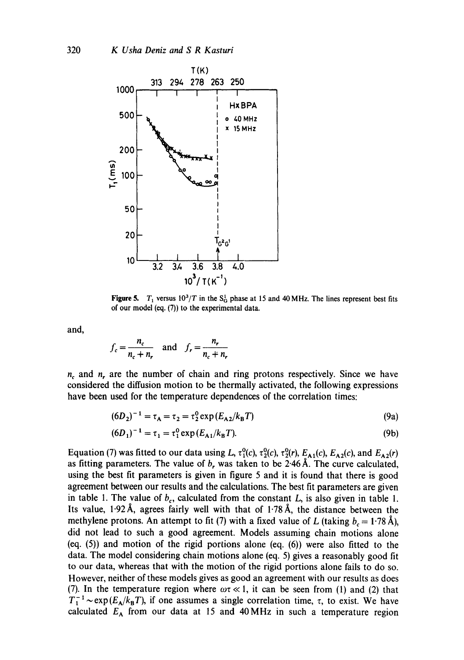

**Figure 5.**  $T_1$  versus  $10^3/T$  in the S<sub>G</sub> phase at 15 and 40 MHz. The lines represent best fits of our model (eq. (7)) to the experimental data.

and,

$$
f_c = \frac{n_c}{n_c + n_r}
$$
 and  $f_r = \frac{n_r}{n_c + n_r}$ 

 $n_c$  and  $n_r$  are the number of chain and ring protons respectively. Since we have considered the diffusion motion to be thermally activated, the following expressions have been used for the temperature dependences of the correlation times:

$$
(6D_2)^{-1} = \tau_A = \tau_2 = \tau_2^0 \exp(E_{A2}/k_B T) \tag{9a}
$$

$$
(6D_1)^{-1} = \tau_1 = \tau_1^0 \exp\left(E_{A1}/k_B T\right). \tag{9b}
$$

Equation (7) was fitted to our data using L,  $\tau_1^0(c)$ ,  $\tau_2^0(c)$ ,  $\tau_2^0(r)$ ,  $E_{A1}(c)$ ,  $E_{A2}(c)$ , and  $E_{A2}(r)$ as fitting parameters. The value of  $b_r$ , was taken to be 2.46 Å. The curve calculated, using the best fit parameters is given in figure 5 and it is found that there is good agreement between our results and the calculations. The best fit parameters are given in table 1. The value of  $b_c$ , calculated from the constant L, is also given in table 1. Its value, 1.92Å, agrees fairly well with that of 1.78Å, the distance between the methylene protons. An attempt to fit (7) with a fixed value of L (taking  $b_c = 1.78~\text{\AA}$ ), did not lead to such a good agreement. Models assuming chain motions alone (eq. (5)) and motion of the rigid portions alone (eq. (6)) were also fitted to the data. The model considering chain motions alone (eq. 5) gives a reasonably good fit to our data, whereas that with the motion of the rigid portions alone fails to do so. However, neither of these models gives as good an agreement with our results as does (7). In the temperature region where  $\omega \tau \ll 1$ , it can be seen from (1) and (2) that  $T_1^{-1} \sim \exp(E_A/k_B T)$ , if one assumes a single correlation time,  $\tau$ , to exist. We have calculated  $E_A$  from our data at 15 and 40 MHz in such a temperature region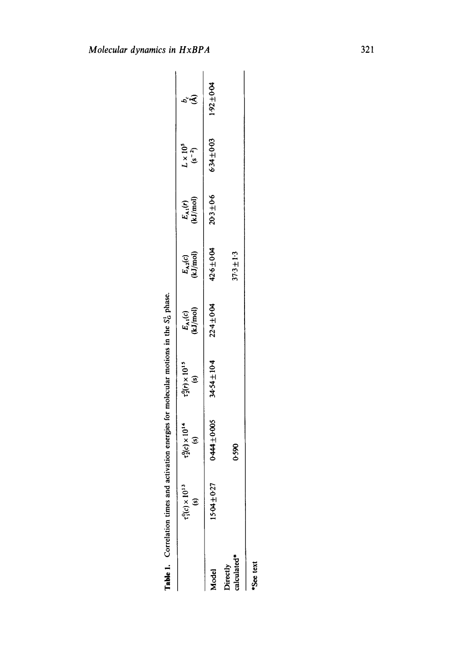| í<br>l                                                             |  |
|--------------------------------------------------------------------|--|
| motions in the 5                                                   |  |
|                                                                    |  |
|                                                                    |  |
|                                                                    |  |
| n e contra e                                                       |  |
|                                                                    |  |
|                                                                    |  |
| ֦֧֦֧֦֧֦֧֪֦֧֧֧ׅ֧֛֪֦֧֝֝֜֜֜֜֜֜֜֜֜֜֜֜֞֓֕֓֕֓֕֓֝֬֜֓֜֜<br>֧֪֪֪֪֪֪֪֪֪֪֪֪֛֝ |  |
|                                                                    |  |
| i                                                                  |  |
| <b>FINE CONTRACTORS CONTRACTORS</b>                                |  |
|                                                                    |  |
|                                                                    |  |
| í                                                                  |  |
|                                                                    |  |
|                                                                    |  |
|                                                                    |  |
|                                                                    |  |
|                                                                    |  |
|                                                                    |  |
|                                                                    |  |
|                                                                    |  |
|                                                                    |  |

|                        | $t_1^0(c) \times 10^{13}$<br>$\tilde{\mathbf{s}}$ | $\tau_2^0(c) \times 10^{14}$<br>(s) | $\tau_2^0(r) \times 10^{15}$<br>(s) | $E_{A1}(c)$ (kJ/mol) | $E_{A2}(c)$<br>kJ/mol) | $E_{A1}(r)$<br>(kJ/mol) | $L \times 10^5$<br>(s <sup>-2</sup> ) | $\tilde{\mathcal{A}}$ |
|------------------------|---------------------------------------------------|-------------------------------------|-------------------------------------|----------------------|------------------------|-------------------------|---------------------------------------|-----------------------|
| <b>Aodel</b>           | $15.04 \pm 0.27$                                  | $+444 + 0.005$                      | 94.54±10-4                          | 22.4±0.04            | $42.6 \pm 0.04$        | $20 - 3 \pm 0.6$        | 634±003                               | $1.92 \pm 0.04$       |
| alculated*<br>virectly |                                                   | 0.590                               |                                     |                      | $17.3 \pm 1.3$         |                         |                                       |                       |
|                        |                                                   |                                     |                                     |                      |                        |                         |                                       |                       |

\*See text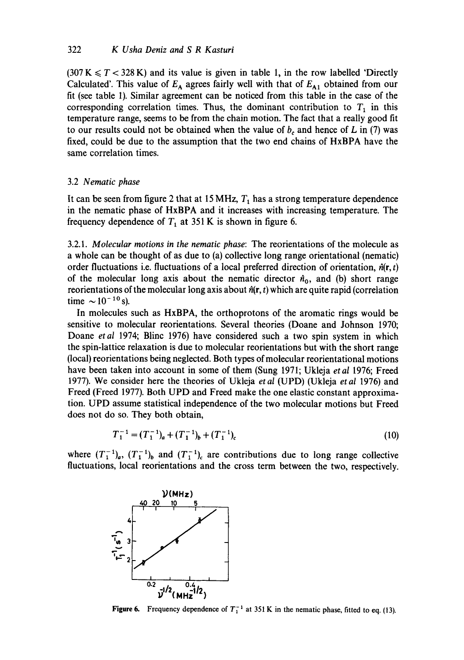$(307 \text{ K} \leq T < 328 \text{ K})$  and its value is given in table 1, in the row labelled 'Directly Calculated'. This value of  $E_A$  agrees fairly well with that of  $E_{A1}$  obtained from our fit (see table 1). Similar agreement can be noticed from this table in the case of the corresponding correlation times. Thus, the dominant contribution to  $T_1$  in this temperature range, seems to be from the chain motion. The fact that a really good fit to our results could not be obtained when the value of  $b_c$  and hence of L in (7) was fixed, could be due to the assumption that the two end chains of HxBPA have the same correlation times.

#### 3.2 *Nematic phase*

It can be seen from figure 2 that at 15 MHz,  $T_1$  has a strong temperature dependence in the nematic phase of HxBPA and it increases with increasing temperature. The frequency dependence of  $T_1$  at 351 K is shown in figure 6.

3.2.1. *Molecular motions in the nematic phase:* The reorientations of the molecule as a whole can be thought of as due to (a) collective long range orientational (nematic) order fluctuations i.e. fluctuations of a local preferred direction of orientation,  $\hat{n}(\mathbf{r}, t)$ of the molecular long axis about the nematic director  $\hat{n}_0$ , and (b) short range reorientations of the molecular long axis about  $\hat{n}(\mathbf{r}, t)$  which are quite rapid (correlation time  $\sim 10^{-10}$  s).

In molecules such as HxBPA, the orthoprotons of the aromatic rings would be sensitive to molecular reorientations. Several theories (Doane and Johnson 1970; Doane *etal* 1974; Blinc 1976) have considered such a two spin system in which the spin-lattice relaxation is due to molecular reorientations but with the short range (local) reorientations being neglected. Both types of molecular reorientational motions have been taken into account in some of them (Sung 1971; Ukleja *etal* 1976; Freed 1977). We consider here the theories of Ukleja *et al* (UPD) (Ukleja *et al* 1976) and Freed (Freed 1977). Both UPD and Freed make the one elastic constant approximation. UPD assume statistical independence of the two molecular motions but Freed does not do so. They both obtain,

$$
T_1^{-1} = (T_1^{-1})_a + (T_1^{-1})_b + (T_1^{-1})_c \tag{10}
$$

where  $(T_1^{-1})_a$ ,  $(T_1^{-1})_b$  and  $(T_1^{-1})_c$  are contributions due to long range collective fluctuations, local reorientations and the cross term between the two, respectively.



**Figure 6.** Frequency dependence of  $T_1^{-1}$  at 351 K in the nematic phase, fitted to eq. (13).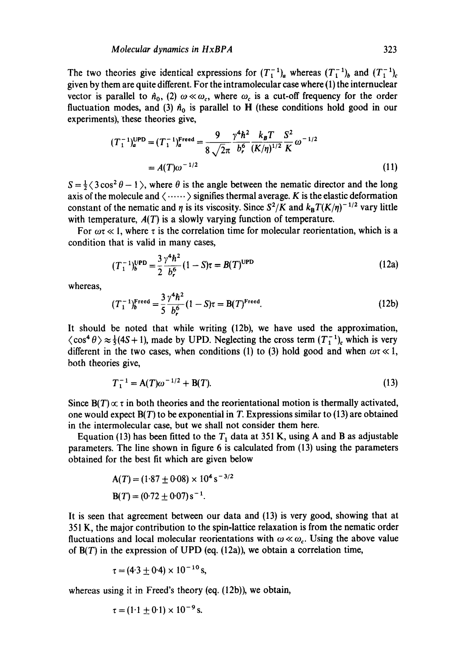The two theories give identical expressions for  $(T_1^{-1})_a$  whereas  $(T_1^{-1})_b$  and  $(T_1^{-1})_c$ given by them are quite different. For the intramolecular case where (1) the internuclear vector is parallel to  $\hat{n}_0$ , (2)  $\omega \ll \omega_c$ , where  $\omega_c$  is a cut-off frequency for the order fluctuation modes, and (3)  $\hat{n}_0$  is parallel to H (these conditions hold good in our experiments), these theories give,

$$
(T_1^{-1})_a^{\text{UPD}} = (T_1^{-1})_a^{\text{Freed}} = \frac{9}{8\sqrt{2\pi}} \frac{\gamma^4 \hbar^2}{b_r^6} \frac{k_B T}{(K/\eta)^{1/2}} \frac{S^2}{K} \omega^{-1/2}
$$
  
=  $A(T)\omega^{-1/2}$  (11)

 $S = \frac{1}{2} \langle 3 \cos^2 \theta - 1 \rangle$ , where  $\theta$  is the angle between the nematic director and the long axis of the molecule and  $\langle \cdots \cdots \rangle$  signifies thermal average. K is the elastic deformation constant of the nematic and  $\eta$  is its viscosity. Since  $S^2/K$  and  $k_BT(K/\eta)^{-1/2}$  vary little with temperature,  $A(T)$  is a slowly varying function of temperature.

For  $\omega \tau \ll 1$ , where  $\tau$  is the correlation time for molecular reorientation, which is a condition that is valid in many cases,

$$
(T_1^{-1})_b^{\text{UPD}} = \frac{3}{2} \frac{\gamma^4 \hbar^2}{b_r^6} (1 - S)\tau = B(T)^{\text{UPD}} \tag{12a}
$$

whereas,

$$
(T_1^{-1})_b^{\text{Freed}} = \frac{3}{5} \frac{\gamma^4 \hbar^2}{b_r^6} (1 - S)\tau = B(T)^{\text{Freed}}.
$$
 (12b)

It should be noted that while writing (12b), we have used the approximation,  $\langle \cos^4 \theta \rangle \approx \frac{1}{2}(4S + 1)$ , made by UPD. Neglecting the cross term  $(T_1^{-1})$ , which is very different in the two cases, when conditions (1) to (3) hold good and when  $\omega \tau \ll 1$ , both theories give,

$$
T_1^{-1} = A(T)\omega^{-1/2} + B(T). \tag{13}
$$

Since  $B(T) \propto \tau$  in both theories and the reorientational motion is thermally activated, one would expect  $B(T)$  to be exponential in T. Expressions similar to (13) are obtained in the intermolecular case, but we shall not consider them here.

Equation (13) has been fitted to the  $T_1$  data at 351 K, using A and B as adjustable parameters. The line shown in figure 6 is calculated from (13) using the parameters obtained for the best fit which are given below

$$
A(T) = (1.87 \pm 0.08) \times 10^{4} \text{ s}^{-3/2}
$$
  

$$
B(T) = (0.72 \pm 0.07) \text{ s}^{-1}.
$$

It is seen that agreement between our data and (13) is very good, showing that at 351 K, the major contribution to the spin-lattice relaxation is from the nematic order fluctuations and local molecular reorientations with  $\omega \ll \omega_c$ . Using the above value of  $B(T)$  in the expression of UPD (eq. (12a)), we obtain a correlation time,

$$
\tau = (4.3 \pm 0.4) \times 10^{-10} \,\mathrm{s},
$$

whereas using it in Freed's theory (eq. (12b)), we obtain,

$$
\tau = (1.1 \pm 0.1) \times 10^{-9} \,\mathrm{s}.
$$